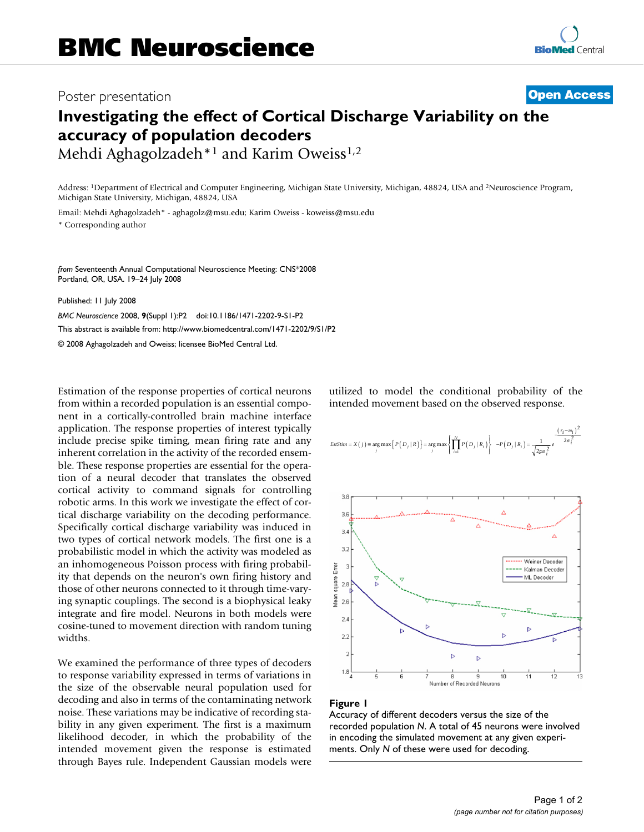## Poster presentation **Contract Contract Contract Contract Contract Contract Contract Contract Contract Contract Contract Contract Contract Contract Contract Contract Contract Contract Contract Contract Contract Contract Con**

## **Investigating the effect of Cortical Discharge Variability on the accuracy of population decoders** Mehdi Aghagolzadeh<sup>\*1</sup> and Karim Oweiss<sup>1,2</sup>

Address: 1Department of Electrical and Computer Engineering, Michigan State University, Michigan, 48824, USA and 2Neuroscience Program, Michigan State University, Michigan, 48824, USA

Email: Mehdi Aghagolzadeh\* - aghagolz@msu.edu; Karim Oweiss - koweiss@msu.edu \* Corresponding author

*from* Seventeenth Annual Computational Neuroscience Meeting: CNS\*2008 Portland, OR, USA. 19–24 July 2008

Published: 11 July 2008

*BMC Neuroscience* 2008, **9**(Suppl 1):P2 doi:10.1186/1471-2202-9-S1-P2 [This abstract is available from: http://www.biomedcentral.com/1471-2202/9/S1/P2](http://www.biomedcentral.com/1471-2202/9/S1/P2) © 2008 Aghagolzadeh and Oweiss; licensee BioMed Central Ltd.

Estimation of the response properties of cortical neurons from within a recorded population is an essential component in a cortically-controlled brain machine interface application. The response properties of interest typically include precise spike timing, mean firing rate and any inherent correlation in the activity of the recorded ensemble. These response properties are essential for the operation of a neural decoder that translates the observed cortical activity to command signals for controlling robotic arms. In this work we investigate the effect of cortical discharge variability on the decoding performance. Specifically cortical discharge variability was induced in two types of cortical network models. The first one is a probabilistic model in which the activity was modeled as an inhomogeneous Poisson process with firing probability that depends on the neuron's own firing history and those of other neurons connected to it through time-varying synaptic couplings. The second is a biophysical leaky integrate and fire model. Neurons in both models were cosine-tuned to movement direction with random tuning widths.

We examined the performance of three types of decoders to response variability expressed in terms of variations in the size of the observable neural population used for decoding and also in terms of the contaminating network noise. These variations may be indicative of recording stability in any given experiment. The first is a maximum likelihood decoder, in which the probability of the intended movement given the response is estimated through Bayes rule. Independent Gaussian models were utilized to model the conditional probability of the intended movement based on the observed response.

$$
EstSim = X(j) = \underset{j}{\arg \max} \left\{ P(D_j | R) \right\} = \underset{j}{\arg \max} \left\{ \prod_{i=1}^{N} P(D_j | R_i) \right\} - P(D_j | R_i) = \frac{1}{\sqrt{2p\sigma_i^2}} e^{\frac{\left(\frac{r_i - m_i}{2}\right)^2}{2\sigma_i^2}}
$$



## Figure 1

Accuracy of different decoders versus the size of the recorded population *N*. A total of 45 neurons were involved in encoding the simulated movement at any given experiments. Only *N* of these were used for decoding.